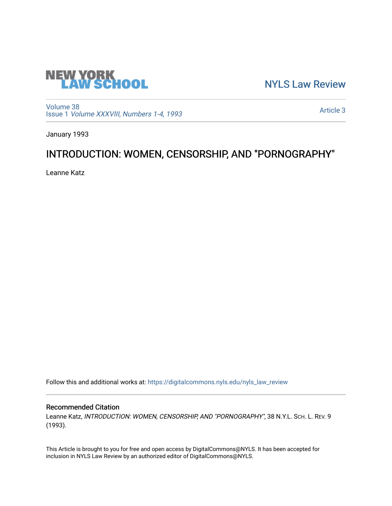

[NYLS Law Review](https://digitalcommons.nyls.edu/nyls_law_review) 

[Volume 38](https://digitalcommons.nyls.edu/nyls_law_review/vol38) Issue 1 [Volume XXXVIII, Numbers 1-4, 1993](https://digitalcommons.nyls.edu/nyls_law_review/vol38/iss1)

[Article 3](https://digitalcommons.nyls.edu/nyls_law_review/vol38/iss1/3) 

January 1993

# INTRODUCTION: WOMEN, CENSORSHIP, AND "PORNOGRAPHY"

Leanne Katz

Follow this and additional works at: [https://digitalcommons.nyls.edu/nyls\\_law\\_review](https://digitalcommons.nyls.edu/nyls_law_review?utm_source=digitalcommons.nyls.edu%2Fnyls_law_review%2Fvol38%2Fiss1%2F3&utm_medium=PDF&utm_campaign=PDFCoverPages) 

## Recommended Citation

Leanne Katz, INTRODUCTION: WOMEN, CENSORSHIP, AND "PORNOGRAPHY", 38 N.Y.L. Sch. L. REV. 9 (1993).

This Article is brought to you for free and open access by DigitalCommons@NYLS. It has been accepted for inclusion in NYLS Law Review by an authorized editor of DigitalCommons@NYLS.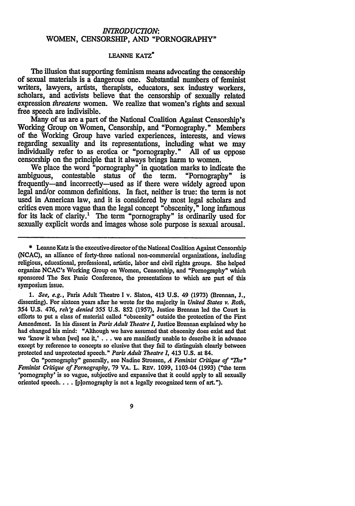## *INTRODUCTION:* WOMEN, CENSORSHIP, **AND** "PORNOGRAPHY"

### **LEANNE KATZ\***

The illusion that supporting feminism means advocating the censorship of sexual materials is a dangerous one. Substantial numbers of feminist writers, lawyers, artists, therapists, educators, sex industry workers, scholars, and activists believe that the censorship of sexually related expression threatens women. We realize that women's rights and sexual free speech are indivisible.

Many of us are a part of the National Coalition Against Censorship's Working Group on Women, Censorship, and "Pornography." Members of the Working Group have varied experiences, interests, and views regarding sexuality and its representations, including what we may individually refer to as erotica or "pornography." **All** of us oppose censorship on the principle that it always brings harm to women.

We place the word "pornography" in quotation marks to indicate the ambiguous, contestable status of the term. "Pornography" is frequently-and incorrectly-used as if there were widely agreed upon legal and/or common definitions. In fact, neither is true: the term is not used in American law, and it is considered by most legal scholars and critics even more vague than the legal concept "obscenity," long infamous for its lack of clarity.1 The term "pornography" is ordinarily used for sexually explicit words and images whose sole purpose is sexual arousal.

**\*** Leanne Katz is the executive director of the National Coalition Against Censorship **(NCAC),** an alliance of forty-three national non-commercial organizations, including religious, educational, professional, artistic, labor and civil rights groups. She helped organize NCAC's Working Group on Women, Censorship, and "Pornography" which sponsored The Sex Panic Conference, the presentations to which are part of this symposium issue.

*1. See, e.g.,* Paris Adult Theatre I v. Slaton, 413 **U.S.** 49 (1973) (Brennan, J., dissenting). For sixteen years after he wrote for the majority in *United States v. Roth, 354* **U.S.** 476, *reh'g denied 355* **U.S. 852 (1957),** Justice Brennan led the Court in efforts to put a class of material called "obscenity" outside the protection of the First Amendment. In his dissent in *Paris Adult Theatre I,* Justice Brennan explained why he had changed his mind: "Although we have assumed that obscenity does exist and that we 'know it when [we] see it,' **. ..** we are manifestly unable to describe it in advance except **by** reference to concepts so elusive that they fail to distinguish clearly between protected and unprotected speech." *Paris Adult Theatre 1,* 413 **U.S.** at 84.

On "pornography" generally, see Nadine Strossen, *A Feminist Critique of "The"* Feminist Critique *of Pornography,* 79 VA. L. REv. 1099, 1103-04 (1993) ("the term 'pornography' is so vague, subjective and expansive that it could apply to **all** sexually oriented speech.... (p]ornography is not a legally recognized term of art.").

9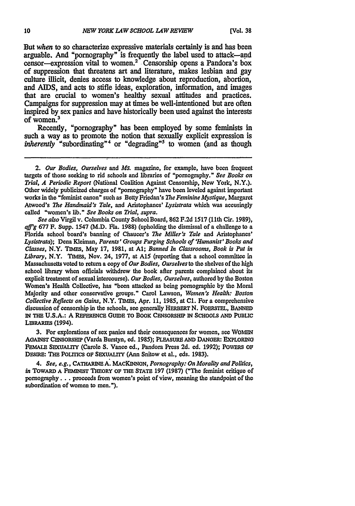But *when* to so characterize expressive materials certainly is and has been arguable. And "pornography" is frequently the label used to attack-and censor-expression vital to women.' Censorship opens a Pandora's box of suppression that threatens art and literature, makes lesbian and gay culture illicit, denies access to knowledge about reproduction, abortion, and **AIDS,** and acts to stifle ideas, exploration, information, and images that are crucial to women's healthy sexual attitudes and practices. Campaigns for suppression may at times be well-intentioned but are often inspired **by** sex panics and have historically been used against the interests of women.3

Recently, "pornography" has been employed **by** some feminists in such a way as to promote the notion that sexually explicit expression is *inherently* "subordinating"<sup>4</sup> or "degrading"<sup>5</sup> to women (and as though

*See also* Virgil v. Columbia County School Board, **862 F.2d 1517 (11th** Cir. **1989),** *aff'g* **677 F.** Supp. 1547 (M.D. Fla. **1988)** (upholding the dismissal of a challenge to a Florida school board's banning of Chaucer's *The Miller's Tale* and Aristophanes' *Lysistrata);* Dena Kleiman, *Parents' Groups Purging Schools of 'Hunanist' Books and Classes,* N.Y. **TIMES,** May **17, 1981,** at **Al;** *Banned In Classrooms, Book is Put in Library,* N.Y. **TIMEs,** Nov. 24, **1977,** at **A15** (reporting that a school committee in Massachusetts voted **to** return a copy of *Our Bodies, Ourselves* to the shelves of the high school library when officials withdrew the book after parents complained about its explicit treatment of sexual intercourse). *Our Bodies, Ourselves,* authored **by** the Boston Women's Health Collective, has "been attacked as being pornographic **by** the Moral Majority and other conservative groups." Carol Lawson, *Women's Health: Boston Collective Reflects on Gains,* N.Y. **TIMES,** Apr. **11, 1985,** at **Cl.** For a comprehensive discussion of censorship in the schools, see generally **HERBERT N. FOERSTEL, BANNED IN THE U.S.A.: A REFERENCE GUIDE TO BOOK CENSORSHIP** IN **SCHOOLS AND** PUBLIC **LIBRARIES** (1994).

**3.** For explorations of sex panics and their consequences for women, see WoMEN **AGAINST CENSORSHIP** (Varda Burstyn, **ed. 1985); PLEASURE AND DANoER: EXPLORING FEMALE SEXUALITY** (Carole **S.** Vance **ed.,** Pandora Press **2d. ed. 1992);** PoWERS **OF DESIRE: THE PoLrrIcs OF SEXUALITY** (Ann Snitow et al., eds. **1983).**

*4. See, e.g.,* **CATHARINE A. MACKINNON,** *Pornography: On Morality and Politics, in* **TOWARD A FEMINIST THEORY OF THE STATE 197 (1987)** ("The feminist critique of pornography... proceeds from women's point of view, meaning the standpoint of the subordination of women to men.").

<sup>2.</sup> *Our Bodies, Ourselves and Ms.* magazine, for example, have been frequent targets of those seeking to rid schools and libraries of "pornography." *See Books on Trial, A Periodic Report* (National Coalition Against Censorship, New York, N.Y.). Other widely publicized charges of "pornography" have been leveled against important works in the "feminist canon" such as **Betty** Friedan's *The Feminine Mystique,* Margaret Atwood's *The Handmaid's Tale,* and Aristophanes' *Lysistrata* which was accusingly called "women's lib." *See Books on Trial, supra.*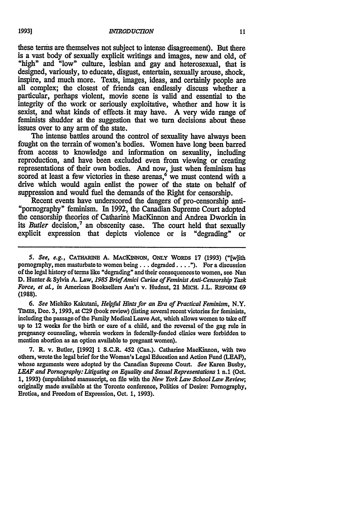these terms are themselves not subject to intense disagreement). But there is a vast body of sexually explicit writings and images, new and old, of "high" and "low" culture, lesbian and gay and heterosexual, that is designed, variously, to educate, disgust, entertain, sexually arouse, shock, inspire, and much more. Texts, images, ideas, and certainly people are all complex; the closest of friends can endlessly discuss whether a particular, perhaps violent, movie scene is valid and essential to the integrity of the work or seriously exploitative, whether and how it is sexist, and what kinds of effects. it may have. A very wide range of feminists shudder at the suggestion that we turn decisions about these issues over to any arm of the state.

The intense battles around the control of sexuality have always been fought on the terrain of women's bodies. Women have long been barred from access to knowledge and information on sexuality, including reproduction, and have been excluded even from viewing or creating representations of their own bodies. And now, just when feminism has scored at least a few victories in these arenas, $6 \text{ we must contend with a}$ drive which would again enlist the power of the state on behalf of suppression and would fuel the demands of the Right for censorship.<br>Recent events have underscored the dangers of pro-censorship anti-

"pornography" feminism. In 1992, the Canadian Supreme Court adopted the censorship theories of Catharine MacKinnon and Andrea Dworkin in its *Butler* decision,<sup>7</sup> an obscenity case. The court held that sexually explicit expression that depicts violence or is "degrading" or

*6. See* Michiko Kakutani, *Helvful Hints for an Era of Practical Feminism,* N.Y. TIms, Dec. **3,** 1993, at **C29** (book review) (listing several recent victories for feminists, including the passage of the Family Medical Leave Act, which allows women to take off up **to** 12 weeks for the birth or care of a child, and the reversal of the gag rule in pregnancy counseling, wherein workers in federally-funded clinics were forbidden **to** mention abortion as an option available to pregnant women).

**7.** R. v. Butler, [1992] 1 S.C.R. 452 (Can.). Catharine MacKinnon, with two others, wrote the legal brief for the Woman's Legal Education and Action Fund **(LEAF),** whose arguments were adopted **by** the Canadian Supreme Court. *See* Karen Busby, *LEAF and Pornography: Litigating on Equality and Sexual Representations* 1 n.1 (Oct. **1, 1993)** (unpublished manuscript, on file with the *New York Law School Law Review;* originally made available at the Toronto conference, Politics of Desire: Pornography, Erotica, and Freedom of Expression, Oct. **1,** 1993).

*<sup>5.</sup> See, e.g.,* **CATHAPINE A. MACKINNON,** ONLY WoRDS **17** (1993) ("[w]ith pornography, men masturbate to women being... degraded.. **.. ").** For a discussion of the legal history of terms like "degrading" and their consequences to women, see Nan **D.** Hunter **&** Sylvia A. Law, *1985 Brief Amici Curiae of Feminist Anti-Censorship Task Force, et aL, in* American Booksellers Ass'n v. Hudnut, 21 MICH. J.L. **REFORM** 69 **(1988).**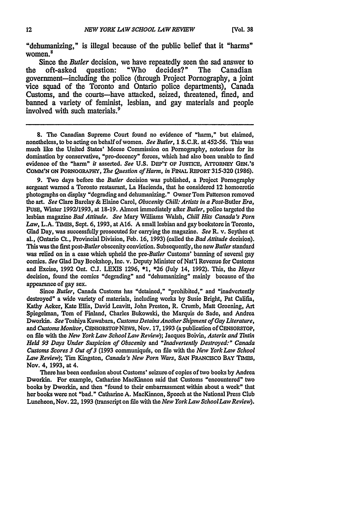"dehumanizing," is illegal because of the public belief that it "harms" women.<sup>8</sup>

Since the *Butler* decision, we have repeatedly seen the sad answer to oft-asked question: "Who decides?" The Canadian the oft-asked question: "Who decides?" government-including the police (through Project Pornography, a joint vice squad of the Toronto and Ontario police departments), Canada Customs, and the courts-have attacked, seized, threatened, fined, and banned a variety of feminist, lesbian, and gay materials and people involved with such materials.<sup>9</sup>

**8.** The Canadian Supreme Court found no evidence of "harm," but claimed, nonetheless, to be acting on behalf of women. *See Butler,* **1** S.C.R. at 452-56. This was much like the United States' Meese Commission on Pornography, notorious for its domination by conservative, "pro-decency" forces, which had also been unable to *find* evidence of the "harm" *it* asserted. *See* U.S. DEP'T OF JUSTICE, ATTORNEY GEN.'S **COMM'N ON** PORNOGRAPHY, *The Question of Harm, in* FINAL **REPORT 315-320 (1986).**

9. Two days before the *Butler* decision was published, a Project Pornography sergeant warned a Toronto restaurant, La Hacienda, that he considered 12 homoerotic photographs on display "degrading and dehumanizing." Owner Tom Patterson removed the art. *See* Clare Barclay & Elaine Carol, *Obscenity Chill: Artists in a Post-Butler Era,* FUSE, Winter 1992/1993, at 18-19. Almost immediately after *Butler,* police targeted the lesbian magazine *Bad Attitude. See* Mary Williams Walsh, *Chill Hits Canada's Porn Law,* L.A. **TIMES,** Sept. 6, 1993, at A16. A small lesbian and gay bookstore in Toronto, Glad Day, was successfully prosecuted for carrying the magazine. *See* R. v. Scythes et al., (Ontario Ct., Provincial Division, Feb. 16, 1993) (called the *Bad Attitude* decision). This was the first post-Butler obscenity conviction. Subsequently, the new *Butler* standard was relied on in a case which upheld the *pre-Butler* Customs' banning of several gay comics. *See* Glad Day Bookshop, Inc. v. Deputy Minister of Nat'l Revenue for Customs and Excise, 1992 Ont. C.J. LEXIS 1296, \*1, \*26 (July 14, 1992). This, the *Hayes* decision, found the comics "degrading" and "dehumanizing" mainly because of the appearance of gay sex.

Since *Butler*, Canada Customs has "detained," "prohibited," and "inadvertently destroyed" a wide variety of materials, including works by Susie Bright, Pat Califia, Kathy Acker, Kate Ellis, David Leavitt, John Preston, R. Crumb, Matt Groening, Art Spiegelman, Tom of Finland, Charles Bukowski, the Marquis de Sade, and Andrea Dworkin. *See* Toshiya Kuwabara, *Customs Detains Another Shipment of Gay Literature,* and *Customs Monitor*, CENSORSTOP NEWS, Nov. 17, 1993 (a publication of CENSORSTOP, on **file** with the *New York Law School Law Review);* Jacques Boivin, *Asterix and 7Intin Held 93 Days Under Suspicion of Obscenity and "Inadvertently Destroyed:" Canada Customs Scores 3 Out of 3* (1993 communiquds, on file with the *New York Law School Law Review);* Tim Kingston, *Canada's New Porn Wars, SAN* FRANCISCO BAY **TIMES,** Nov. 4, 1993, at 4.

Therehas been confusion about Customs' seizure of copies of two books by Andrea Dworkin. For example, Catharine MacKinnon said that Customs "encountered" two books **by** Dworkin, and then "found to their embarrassment within about a week" that her books were not "bad." Catharine A. MacKinnon, Speech at the National Press Club Luncheon, Nov. 22, **1993** (transcript on file with the *New YorkLaw SchoolLaw Review).*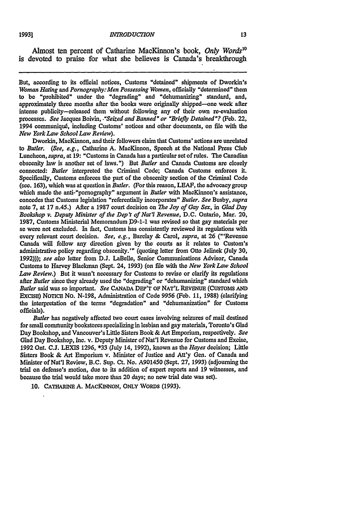Almost ten percent of Catharine MacKinnon's book, *Only Words10* is devoted to praise for what she believes is Canada's breakthrough

But, according to its official notices, Customs "detained" shipments of Dworkin's *Woman Hating and Pornography:Men Possessing Women,* officially "determined" them to be "prohibited" under the "degrading" and "dehumanizing" standard, and, approximately **three** months after the books were originally shipped-one week after intense publicity-released them without following any of their own re-evaluation processes. *See* Jacques Boivin, *."Seized and Banned" or "Briefly Detained"?* (Feb. 22, 1994 communiqu6, including Customs' notices and other documents, on file with the *New York Law School Law Review).*

Dworkin, MacKinnon, and their followers claim that Customs' actions are unrelated *to Butler. (See, e.g.,* Catharine **A.** MacKinnon, Speech at the National Press Club Luncheon, *supra,* at **19:** "Customs in Canada has a particular set of rules. The Canadian obscenity law is another set of laws.") But *Butler* and Canada Customs are closely connected: *Butler* interpreted the Criminal Code; Canada Customs enforces it. Specifically, Customs enforces the part of the obscenity section of the Criminal Code (sec. **163),** which was at question in *Butler.* (For this reason, **LEAF,** the advocacy group which made the anti-"pornography" argument in *Butler* with MacKinnon's assistance, concedes that Customs legislation "referentially incorporates" *Butler. See* Busby, *supra* note **7,** at **17** n.45.) After a **1987** court decision on *The Joy of Gay Sex, in Glad Day Bookshop v. Deputy Minister of the Dep't of Nat'l Revenue,* **D.C.** Ontario, Mar. 20, 1987, Customs Ministerial Memorandum P9-1-1 was revised so that gay materials per se were not excluded. In fact, Customs has consistently reviewed its regulations with every relevant court decision. *See, e.g.,* Barclay & Carol, *supra,* at **26** ("'Revenue Canada will follow any direction given **by** the courts as it relates to Custom's administrative policy regarding obscenity.'" (quoting letter from Otto Jelinek (July **30, 1992)));** *see also* letter from **D.J.** LaBelle, Senior Communications Advisor, Canada Customs to Harvey Blackman (Sept. 24, **1993)** (on file with the *New York Law School Law Review.)* But it wasn't necessary for Customs to revise or clarify its regulations *after Butler* since they already used the "degrading" or "dehumanizing" standard which Butler said was so important. *See* **CANADA** DEP'T **OF NAT'L** REVENUE (CuSToMS **AND** ExcIsE) NOTICE No. N-198, Administration of Code 9956 (Feb. 11, 1988) (clarifying the interpretation of the terms "degradation" and "dehumanization" for Customs officials).

*Butler* has negatively affected two court cases involving seizures of mail destined for small comnmunity bookstores specializing in lesbian and gay materials, Toronto's Glad Day Bookshop, and Vancouver's Little Sisters Book **&** Art Emporium, respectively. *See* Glad Day Bookshop, Inc. v. Deputy Minister of Nat'l Revenue for Customs and Excise, 1992 Ont. C.J. **LEXIS 1296,** \*33 (July 14, 1992), known as the *Hayes* decision; Little Sisters Book **&** Art Emporium v. Minister of Justice and Att'y Gen. of Canada and Minister of Nat'l Review, B.C. Sup. Ct. No. A901450 (Sept. **27,** 1993) (adjourning the trial on defense's motion, due to its addition of expert reports and 19 witnesses, and because the trial would take more than 20 days; no new trial date was set).

10. CATHARINE A. MACKINNON, ONLY WORDS (1993).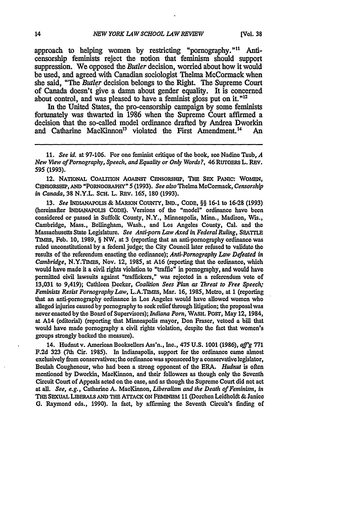approach to helping women **by** restricting "pornography." 1 Anticensorship feminists reject the notion that feminism should support suppression. We opposed the *Butler* decision, worried about how it would **be** used, and agreed with Canadian sociologist Thelma MeCormack when she said, "The *Butler* decision belongs to the Right. The Supreme Court of Canada doesn't give a damn about gender equality. It is concerned about control, and was pleased to have a feminist gloss put on it."<sup>12</sup>

In the United States, the pro-censorship campaign **by** some feminists fortunately was thwarted in **1986** when the Supreme Court affirmed a decision that the so-called model ordinance drafted **by** Andrea Dworkin and Catharine MacKinnon<sup>13</sup> violated the First Amendment.<sup>14</sup> An

12. NATIONAL CoAITIoN AoAINST CENsoRsHIP, **THE SEX** PANIc: WOMEN, CENSORSHIP, **AND** "PORNOORAPHY" 5 **(1993).** *See also* Thelma McCormack, *Censorship in Canada,* **38** N.Y.L. ScH. L. REv. 165, **180** (1993).

**13.** *See* **INDiANAPOUS &** MARION **CoUNTY, IND., CODE, §§** 16-1 to **16-28** (1993) (hereinafter **INDIANAPOLIS CODE).** Versions of the "model" ordinance have been considered or passed in Suffolk County, N.Y., Minneapolis, Minn., Madison, WiS., Cambridge, Mass., Bellingham, Wash., and Los Angeles County, Cal. and the Massachusetts State Legislature. *See Anti-porn Law Axed in Federal Ruling,* **SEATrLE** TIMs, Feb. 10, 1989, § NW, at 3 (reporting that an anti-pornography ordinance was ruled unconstitutional by a federal judge; the City Council later refused to validate the results of the referendum enacting the ordinance); *Anti-Pornography Law Defeated in Cambridge,* N.Y.TIMEs, Nov. 12, **1985,** at **A16** (reporting that the ordinance, which would have made it a civil rights violation to "traffic" in pornography, and would have permitted civil lawsuits against "traffickers," was rejected in a referendum vote of 13,031 to 9,419); Cathleen Decker, *Coalition Sees Plan as Threat to Free Speech; Feminists Resist Pornography Law,* L.A.TIMEs, Mar. 16, 1985, Metro, at **1** (reporting that an anti-pornography ordinance in Los Angeles would have allowed women who alleged injuries caused **by** pornography **to** seek relief through litigation; the proposal was never enacted by the Board of Supervisors); *Indiana Porn,* WASH. POST, May 12, 1984, at A14 (editorial) (reporting that Minneapolis mayor, Don Fraser, vetoed a bill that would have made pornography a civil rights violation, despite the fact that women's groups strongly backed the measure).

14. Hudnutv. American Booksellers Ass'n., Inc., 475 U.S. **1001 (1986),** *a ffg* **771 F.2d 323** (7th Cir. 1985). In Indianapolis, support for the ordinance came almost exclusively from conservatives; the ordinance was sponsored by a conservative legislator, Beulah Coughenour, who had been a strong opponent of the ERA. *Hudnut* is often mentioned **by** Dworkin, MacKinnon, and their followers as though only the Seventh Circuit Court of Appeals acted on the case, and as though the Supreme Court did not act at all. *See, e.g.,* Catharine A. MacKinnon, *Liberalism and the* Death *of Feminism, in* **THE SEXUAL LmERAuS AND THE** ATrACK **ON FEMINISM 11** (Dorchen Leidholdt **&** Janice **G.** Raymond eds., 1990). In fact, **by** affirming the Seventh Circuit's finding of

<sup>11.</sup> *See id.* at 97-106. For one feminist critique of the book, see Nadine Taub, *A New View of Pornography, Speech, and Equality or Only Words?, 46 RUTOERS L. REV.* 595 **(1993).**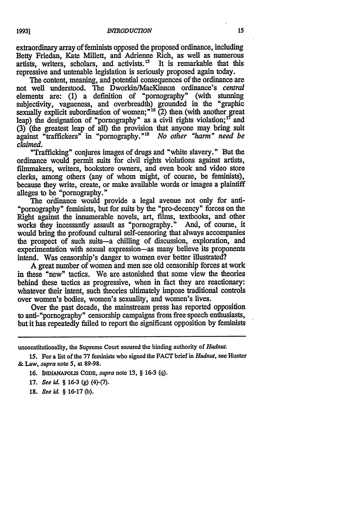19931

extraordinary array of feminists opposed the proposed ordinance, including Betty Friedan, Kate Millett, and Adrienne Rich, as well as numerous artists, writers, scholars, and activists.15 It is remarkable that this repressive and untenable legislation is seriously proposed again today.

The content, meaning, and potential consequences of the ordinance are not well understood. The Dworkin/MacKinnon ordinance's *central* elements are: (1) a definition of "pornography" (with stunning subjectivity, vagueness, and overbreadth) grounded in the "graphic sexually explicit subordination of women;"<sup>16</sup>  $(2)$  then (with another great leap) the designation of "pornography" as a civil rights violation;<sup>17</sup> and **(3)** (the greatest leap of all) the provision that anyone may bring suit against "traffickers" in "pornography."' *No other "hann" need be claimed.*

"Trafficking" conjures images of drugs and "white slavery." But the ordinance would permit suits for civil rights violations against artists, filmmakers, writers, bookstore owners, and even book and video store clerks, among others (any of whom might, of course, be feminists), because they write, create, or make available words or images a plaintiff alleges to be "pornography."

The ordinance would provide a legal avenue not only for anti-"pornography" feminists, but for suits by the "pro-decency" forces on the Right against the innumerable novels, art, films, textbooks, and other works they incessantly assault as "pornography." And, of course, it would bring the profound cultural self-censoring that always accompanies the prospect of such suits-a chilling of discussion, exploration, and experimentation with sexual expression-as many believe its proponents intend. Was censorship's danger to women ever better illustrated?

A great number of women and men see old censorship forces at work in these "new" tactics. We are astonished that some view the theories behind these tactics as progressive, when in fact they are reactionary: whatever their intent, such theories ultimately impose traditional controls over women's bodies, women's sexuality, and women's lives.

Over the past decade, the mainstream press has reported opposition to anti-"pornography" censorship campaigns from free-peech enthusiasts, but it has repeatedly failed to report the significant opposition by feminists

- **16.** INDIANAPoLIs **CODE,** *supra* note **13,** § **16-3 (q).**
- **17.** *See id.* § **16-3 (g)** (4)-(7).
- **18.** *See id.* § **16-17 (b).**

unconstitutionality, the Supreme Court secured the binding authority of *Hudnut.*

**<sup>15.</sup> For a** list of the **77** feminists who signed the **FACT** brief in *Hudnut,* see Hunter **& Law,** *supra* note **5,** at 89-98.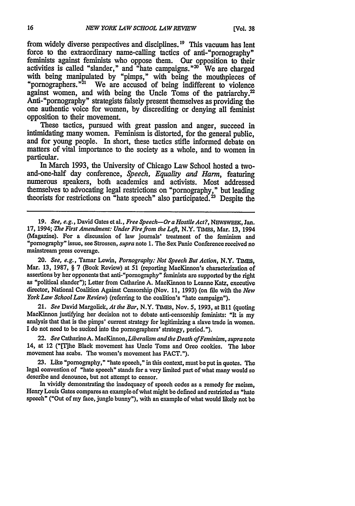from widely diverse perspectives and disciplines.19 This vacuum has lent force to the extraordinary name-calling tactics of anti-"pornography" feminists against feminists who oppose them. Our opposition to their activities is called "slander," and "hate campaigns." $20$  We are charged with being manipulated by "pimps," with being the mouthpieces of "pornographers."<sup>21</sup> We are accused of being indifferent to violence against women, and with being the Uncle Toms of the patriarchy.<sup>22</sup> Anti-"pornography" strategists falsely present themselves as providing the one authentic voice for women, by discrediting or denying all feminist opposition to their movement.

These tactics, pursued with great passion and anger, succeed in intimidating many women. Feminism is distorted, for the general public, and for young people. In short, these tactics stifle informed debate on matters of vital importance to the society as a whole, and to women in particular.

In March 1993, the University of Chicago Law School hosted a twoand-one-half day conference, *Speech, Equality and Harm,* featuring numerous speakers, both academics and activists. Most addressed themselves to advocating legal restrictions on "pornography," but leading theorists for restrictions on "hate speech" also participated.<sup>23</sup> Despite the

19. *See, e.g., David Gates et al., Free Speech--Or a Hostile Act?, NEWSWEEK, Jan.* 17, 1994; *The First Amendment: Under Fire from the Left*, N.Y. TIMES, Mar. 13, 1994 (Magazine). For a discussion of law journals' treatment of the feminism and "pornography" issue, see Strossen, *supra* note **1.** The Sex Panic Conference received no mainstream press coverage.

20. *See, e.g.,* Tamar Lewin, *Pornography: Not Speech* But Action, N.Y. **TIam,** Mar. 13, 1987, § 7 (Book Review) at 51 (reporting MacKinnon's characterization of assertions by her opponents that anti-"pornography" feminists are supported **by** the right as "political slander"); Letter from Catharine A. MacKinnon to Leanne Katz, executive director, National Coalition Against Censorship (Nov. 11, 1993) (on file with the *New York Law School Law Review)* (referring to the coalition's "hate campaign").

21. *See* David Margolick, *At the Bar,* N.Y. **TIMES,** Nov. 5, 1993, at B1l (quoting MacKinnon justifying her decision not to debate anti-censorship feminists: "It is my analysis that that is the pimps' current strategy for legitimizing a slave trade in women. I do not need to be sucked into the pornographers' strategy, period.").

22. *See* CatharineA. MacKinnon, *Liberalism and the Death of Feminism, supra note* 14, at 12 ("[T]he Black movement has Uncle Toms and Oreo cookies. The labor movement has scabs. The women's movement has FACT.").

23. Like "pornography," "hate speech," in this context, must beput in quotes. The legal convention of "hate speech" stands for a very limited part of what many would so describe and denounce, but not attempt to censor.

In vividly demonstrating the inadequacy of speech codes as a remedy for racism, Henry Louis Gates compares an example of what might be defined and restricted as "hate speech" ("Out of my face, jungle bunny"), with an example of what would likely not be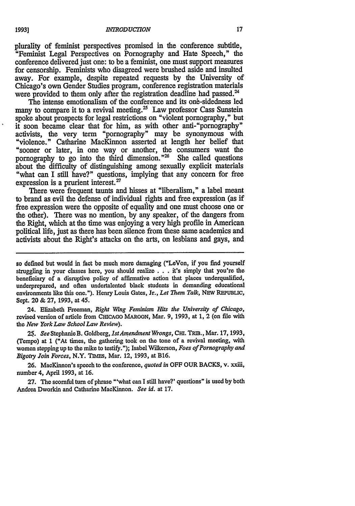plurality of feminist perspectives promised in the conference subtitle, "Feminist Legal Perspectives on Pornography and Hate Speech," the conference delivered just one: to be a feminist, one must support measures for censorship. Feminists who disagreed were brushed aside and insulted away. For example, despite repeated requests by the University of Chicago's own Gender Studies program, conference registration materials were provided to them only after the registration deadline had passed.<sup>24</sup>

The intense emotionalism of the conference and its one-sidedness led many to compare it to a revival meeting.<sup>25</sup> Law professor Cass Sunstein spoke about prospects for legal restrictions on "violent pornography," but it soon became clear that for him, as with other anti-"pornography" activists, the very term "pornography" may be synonymous with "violence." Catharine MacKinnon asserted at length her belief that "sooner or later, in one way or another, the consumers want the pornography to go into the third dimension." $26$  She called questions about the difficulty of distinguishing among sexually explicit materials "what can I still have?" questions, implying that any concern for free expression is a prurient interest.<sup>27</sup>

There were frequent taunts and hisses at "liberalism," a label meant to brand as evil the defense of individual rights and free expression (as if free expression were the opposite of equality and one must choose one or the other). There was no mention, by any speaker, of the dangers from the Right, which at the time was enjoying a very high profile in American political life, just as there has been silence from these same academics and activists about the Right's attacks on the arts, on lesbians and gays, and

so defined but would in fact be much more damaging ("LeVon, if you find yourself struggling in your classes here, you should realize **...** it's simply that you're the beneficiary of a disruptive policy of affirmative action that places underqualified, underprepared, and often undertalented black students in demanding educational environments like this one."). Henry Louis Gates, Jr., *Let Them Talk,* **NEW REPUBLIC,** Sept. 20 & 27, 1993, at 45.

24. Elizabeth Freeman, *Right Wing Feminism Hits the University of Chicago,* revised version of article from **CHICAGO** MAROON, Mar. 9, 1993, at **1,** 2 (on file with *the New York Law School Law Review).*

25. *See* StephanieB. Goldberg, *IstAmendmient Wrongs,* Cm. TRIB., Mar. **17,** 1993, (Tempo) at **1** ("At times, the gathering took on the tone of a revival meeting, with women stepping up to the mike to testify."); Isabel Wilkerson, *Foes of Pornography and Bigotry Join Forces, N.Y. TIMES, Mar. 12, 1993, at B16.* 

26. MacKinnon's speech to the conference, *quoted in* OFF OUR BACKS, v. xxiii, number 4, April 1993, at **16.**

27. The scornful turn of phrase "'what can I still have?' questions" is used by both Andrea Dworkin and Catharine MacKinnon. *See id.* at **17.**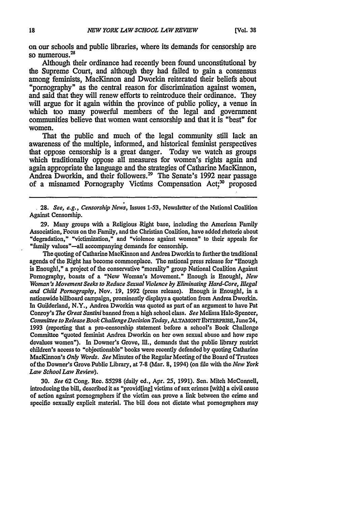on our schools and public libraries, where its demands for censorship are so numerous.<sup>28</sup>

Although their ordinance had recently been found unconstitutional **by** the Supreme Court, and although they had failed to gain a consensus among feminists, MacKinnon and Dworkin reiterated their beliefs about "pornography" as the central reason for discrimination against women, and said that they will renew efforts to reintroduce their ordinance. They will argue for it again within the province of public policy, a venue in which too many powerful members of the legal and government communities believe that women want censorship and that it is "best" for women.

That the public and much of the legal community still lack an awareness of the multiple, informed, and historical feminist perspectives that oppose censorship is a great danger. Today we watch as groups which traditionally oppose all measures for women's rights again and again appropriate the language and the strategies of Catharine MacKinnon, Andrea Dworkin, and their followers." The Senate's **1992** near passage of a misnamed Pornography Victims Compensation Act;<sup>30</sup> proposed

**28.** *See, e.g., Censorship News,* Issues 1-53, Newsletter of the National Coalition Against Censorship.

**29.** Many groups with a Religious 'Right base, including the American Family Association, Focus on the Family, and the Christian Coalition, have added rhetoric about "degradation," "victimization," and "violence against women" to their appeals for "family values"-all accompanying demands for censorship.

The quoting of Catharine MacKinnon and Andrea Dworkin to further the traditional agenda of the Right has become commonplace. The national press release for "Enough is Enough!," a project of the conservative "morality" group National Coalition Against Pornography, boasts of a "New Woman's Movement." Enough is Enoughl, *New Woman's Movement Seeks to Reduce Sexual Violence by Eliminating Hard-Core, Illegal and Child Pornography,* Nov. **19,** 1992 (press release). Enough is Enoughl, in a nationwide billboard campaign, prominently displays a quotation from Andrea Dworkin. In Guilderland, N.Y., Andrea Dworkin was quoted as part of an argument to have Pat Conroy's *The Great Santini* banned from a high school class. *See* Melissa Hale-Spencer, *Committee to Release Book ChallengeDecision Today,* **ALTAmONT** ENTERPRISE, June24, 1993 (reporting that a pro-censorship statement before a school's Book Challenge Committee "quoted feminist Andrea Dworkin on her own sexual abuse and how rape devalues women"). In Downer's Grove, Ill., demands that the public library restrict children's access to "objectionable" books were recently defended **by** quoting Catharine MacKinnon's *Only Words. See* Minutes of the Regular Meeting of the Board of Trustees of the Downer's Grove Public Library, at **7-8** (Mar. **8,** 1994) (on file with the *New York Law School Law Review).*

**30.** *See* **62** Cong. Rec. **S5298** (daily **ed.,** Apr. 25, **1991).** Sen. Mitch McConnell, introducing the bill, described it as "provid[ing] victims of sex crimes [with] a civil cause of action against pornographers if the victim car prove a link between the crime and specific sexually explicit material. The bill does not dictate what pornographers may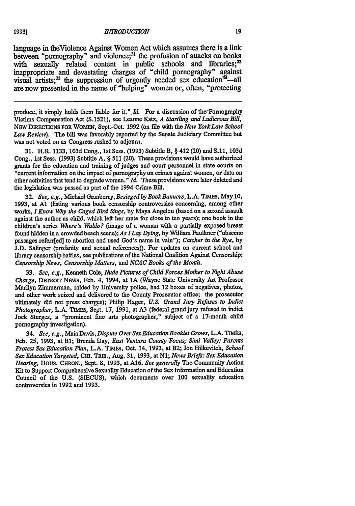#### **INTRODUCTION**

language in theViolence Against Women Act which assumes there is a link between "pornography" and violence;<sup>31</sup> the profusion of attacks on books with sexually related content in public schools and libraries;<sup>32</sup> inappropriate and devastating charges of "child pornography" against visual artists;<sup>33</sup> the suppression of urgently needed sex education<sup>34</sup>—all are now presented in the name of "helping" women or, often, "protecting

produce, it simply holds them liable for it." *Id.* For a discussion of the Pornography Victims Compensation Act (S.1521), see Leanne Katz, *A Startling and Ludicrous Bill,* NEw DIRECTONS FOR WOMEN, Sept.-Oct. 1992 (on **file** with the *New YorkLaw School Law Review).* The bill was favorably reported by the Senate Judiciary Committee but was not voted on as Congress rushed to adjourn.

31. H.R. 1133, 103d Cong., 1st Sess. (1993) Subtitle B, § 412 (20) and S.11, 103d Cong., 1st Sess. (1993) Subtitle A, § 511 (20). These provisions would have authorized grants for the education and training of judges and court personnel in state courts on "current information on the impact **of** pornography on crimes against women, or data **on** other activities that tend to degradewomen." *Id.* Theseprovisions were later deleted and the legislation was passed as part of the 1994 Crime Bill.

**32.** *See, e.g.,* Michael Granberry, *Besieged by BookBanners,* L.A. **TIMEs,** May **10, 1993,** at **Al** (listing various book censorship controversies concerning, among other works, *I Know Why the Caged Bird Sings,* by Maya Angelou (based on a sexual assault against the author as child, which left her mute for close to ten years); one book in the children's series *Where's Waldo?* (image of a woman with a partially exposed breast found hidden in a crowded beach scene); *As ILay Dying,* by William Faulkner ("obscene passages referr[ed] to abortion and used God's name in vain"); *Catcher in the Rye,* by J.D. Salinger (profanity and sexual references)). For updates on current school and library censorship battles, see publications of the National Coalition Against Censorship: *Censorship News, Censorship Matters, and NCAC Books of the Month.*

**33.** *See, e.g.,* Kenneth Cole, *Nude Pictures of Child Forces Mother to Fight Abuse Charge, DETROIT NEWS, Feb. 4, 1994, at 1A (Wayne State University Art Professor* Marilyn Zimmerman, raided by University police, had 12 boxes of negatives, photos, and other work seized and delivered to the County Prosecutor office; the prosecutor ultimately did not press charges); Philip Hager, *U.S. Grand Jury Refuses to Indict Photographer,* L.A. TIMES, Sept. **17, 1991,** at **A3** (federal grand jury refused to indict **Jock** Sturges, a "prominent fine arts photographer," subject of a 17-month child pornography investigation).

34. *See, e.g.,* Maia Davis, *Dispute Over Sex Education Booklet Grows,* L.A. **TIMS,** Feb. **25, 1993,** at **B1;** Brenda Day, *East Ventura County Focus; Simi Valley; Parents Protest Sex Education Plan,* L.A. TIMES, Oct. 14, **1993,** at B2; Jon Hilkevitch, *School Sex Education Targeted,* Cm. **TRm.,** Aug. **31, 1993,** at *N1; News Briefs: Sex Education Hearing,* Hous. CHRON., Sept. **8, 1993,** at A16. *See generally* The Community Action Kit to Support Comprehensive Sexuality Education of the Sex Information and Education Council of the **U.S. (SIECUS),** which documents over **100** sexuality education controversies in **1992** and **1993.**

19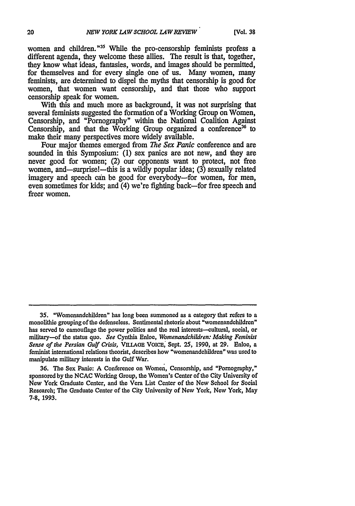women and children."<sup>35</sup> While the pro-censorship feminists profess a different agenda, they welcome these allies. The result is that, together, they know what ideas, fantasies, words, and images should be permitted, for themselves and for every single one of us. Many women, many feminists, are determined to dispel the myths that censorship is good for women, that women want censorship, and that those who support censorship speak for women.

With this and much more as background, it was not surprising that several feminists suggested the formation of a Working Group on Women, Censorship, and "Pornography" within the National Coalition Against Censorship, and that the Working Group organized a conference<sup>36</sup> to make their many perspectives more widely available.

Four major themes emerged from *The Sex Panic* conference and are sounded in this Symposium: (1) sex panics are not new, and they are never good for women; (2) our opponents want to protect, not free women, and—surprise!—this is a wildly popular idea; (3) sexually related imagery and speech can be good for everybody-for women, for men, even sometimes for kids; and (4) we're fighting back-for free speech and freer women.

**<sup>35.</sup>** "Womenandehildren" has long been summoned as a category that refers to a monolithic grouping of the defenseless. Sentimental rhetoric about "womenandchildren" has served to camouflage the power politics and the real interests-cultural, social, or military-of the status quo. *See* Cynthia Enloe, *Womenandchildren: Making Feminist Sense of the Persian Gulf Crisis,* VILLAGE VOICE, Sept. 25, 1990, at **29.** Enloe, a feminist international relations theorist, describes how "womenandchildren" was used to manipulate military interests in the Gulf War.

**<sup>36.</sup>** The Sex Panic: A Conference on Women, Censorship, and "Pornography," sponsored by the **NCAC** Working Group, the Women's Center of the City University of New York Graduate Center, and the Vera List Center of the New School for Social Research; The Graduate Center of the City University of New York, New York, May 7-8, 1993.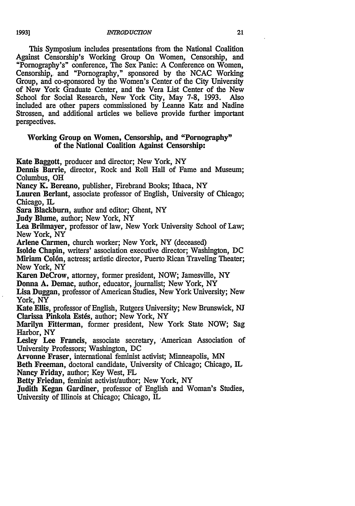This Symposium includes presentations from the National Coalition Against Censorship's Working Group On Women, Censorship, and "Pornography's" conference, The Sex Panic: A Conference on Women, Censorship, and "Pornography," sponsored by the NCAC Working Group, and co-sponsored by the Women's Center of the City University of New York Graduate Center, and the Vera List Center of the New School for Social Research, New York City, May 7-8, 1993. Also included are other papers commissioned by Leanne Katz and Nadine Strossen, and additional articles we believe provide further important perspectives.

## Working Group on Women, Censorship, and "Pornography" of the National Coalition Against Censorship:

Kate Baggott, producer and director; New York, NY

Dennis Barrie, director, Rock and Roll Hall of Fame and Museum; Columbus, OH

Nancy K. Bereano, publisher, Firebrand Books; Ithaca, NY

Lauren Berlant, associate professor of English, University of Chicago; Chicago, IL

Sara Blackburn, author and editor; Ghent, NY

Judy Blume, author; New York, NY

Lea Brilmayer, professor of law, New York University School of Law; New York, NY

Arlene Carmen, church worker; New York, NY (deceased)

Isolde Chapin, writers' association executive director; Washington, DC Miriam Col6n, actress; artistic director, Puerto Rican Traveling Theater; New York, NY

Karen DeCrow, attorney, former president, NOW; Jamesville, NY Donna A. Demac, author, educator, journalist; New York, NY

Lisa Duggan, professor of American Studies, New York University; New York, NY

Kate Ellis, professor of English, Rutgers University; New Brunswick, NJ Clarissa Pinkola Estés, author; New York, NY

Marilyn Fitterman, former president, New York State NOW; Sag Harbor, NY

Lesley Lee Francis, associate secretary, American Association of University Professors; Washington, DC

Arvonne Fraser, international feminist activist; Minneapolis, MN

Beth Freeman, doctoral candidate, University of Chicago; Chicago, IL Nancy Friday, author; Key West, FL

Betty Friedan, feminist activist/author; New York, NY

Judith Kegan Gardiner, professor of English and Woman's Studies, University of Illinois at Chicago; Chicago, IL

 $\overline{\phantom{a}}$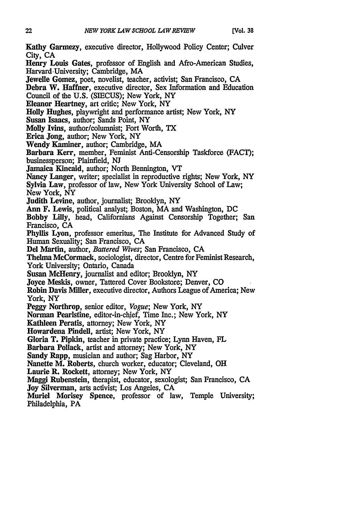Kathy Garmezy, executive director, Hollywood Policy Center; Culver City, CA

Henry Louis Gates, professor of English and Afro-American Studies, Harvard .University; Cambridge, MA

Jewelle Gomez, poet, novelist, teacher, activist; San Francisco, **CA**

Debra W. Haffner, executive director, Sex Information and Education

Council of the **U.S. (SIECUS);** New York, NY

Eleanor Heartney, art critic; New York, NY

Holly Hughes, playwright and performance artist; New York, NY

Susan Isaacs, author; Sands Point, NY

Molly Ivins, author/columnist; Fort Worth, TX

Erica Jong, author; New York, NY

Wendy Kaminer, author; Cambridge, MA

Barbara Kerr, member, Feminist Anti-Censorship Taskforce **(FACT);** businessperson; Plainfield, **NJ**

Jamaica Kincaid, author; North Bennington, VT

Nancy Langer, writer; specialist in reproductive rights; New York, NY

Sylvia Law, professor of law, New York University School of Law;

New York, NY

Judith Levine, author, journalist; Brooklyn, NY

Ann F. Lewis, political analyst;. Boston, MA and Washington, DC

Bobby **Lilly,** head, Californians Against Censorship Together; San Francisco, CA

Phyllis Lyon, professor emeritus, The Institute for Advanced Study of Human Sexuality; San Francisco, **CA**

**Del** Martin, author, *Battered Wives;* San Francisco, **CA**

Thelma McCormack, sociologist, director, Centre for Feminist Research, York University; Ontario, Canada

Susan McHenry, journalist and editor; Brooklyn, NY

Joyce Meskis, owner, Tattered Cover Bookstore; Denver, CO

Robin Davis Miller, executive director, Authors League of America; New York, NY

Peggy Northrop, senior editor, *Vogue;* New York, NY

Norman Pearlstine, editor-in-chief, Time Inc.; New York, NY

Kathleen Peratis, attorney; New York, NY

Howardena Pindeil, artist; New York, NY

Gloria T. Pipkin, teacher in private practice; Lynn Haven, FL

Barbara Pollack, artist and attorney; New York, NY

Sandy Rapp, musician and author; Sag Harbor, NY

Nanette M. Roberts, church worker, educator; Cleveland, OH

Laurie R. Rockett, attorney; New York, NY

Maggi Rubenstein, therapist, educator, sexologist; San Francisco, **CA**

Joy Silverman, arts activist; Los Angeles, **CA**

Muriel Morisey Spence, professor of law, Temple University; Philadelphia, PA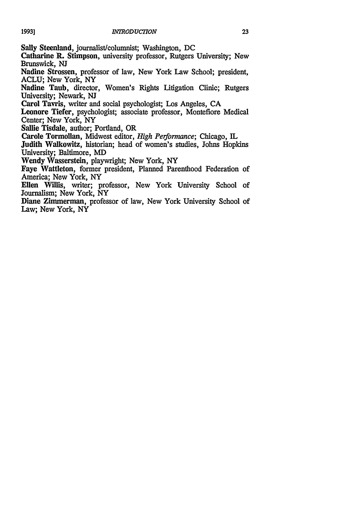Sally Steenland, journalist/columnist; Washington, DC

Catharine **R.** Stimpson, university professor, Rutgers University; New Brunswick, **NJ**

Nadine Strossen, professor of law, New York Law School; president, **ACLU;** New York, NY

Nadine Taub, director, Women's Rights Litigation Clinic; Rutgers University; Newark, **NJ**

Carol Tavris, writer and social psychologist; Los Angeles, **CA**

Leonore Tiefer, psychologist; associate professor, Montefiore Medical Center; New York, NY

Sallie Tisdale, author; Portland, OR

Carole Tormollan, Midwest editor, *High Performance;* Chicago, IL

Judith Walkowitz, historian; head of women's studies, Johns Hopkins University; Baltimore, MD

Wendy Wasserstein, playwright; New York, NY

Faye Wattleton, former president, Planned Parenthood Federation of America; New York, NY

Ellen Willis, writer; professor, New York University School of Journalism; New York, NY

Diane Zimmerman, professor of law, New York University School of Law; New York, NY